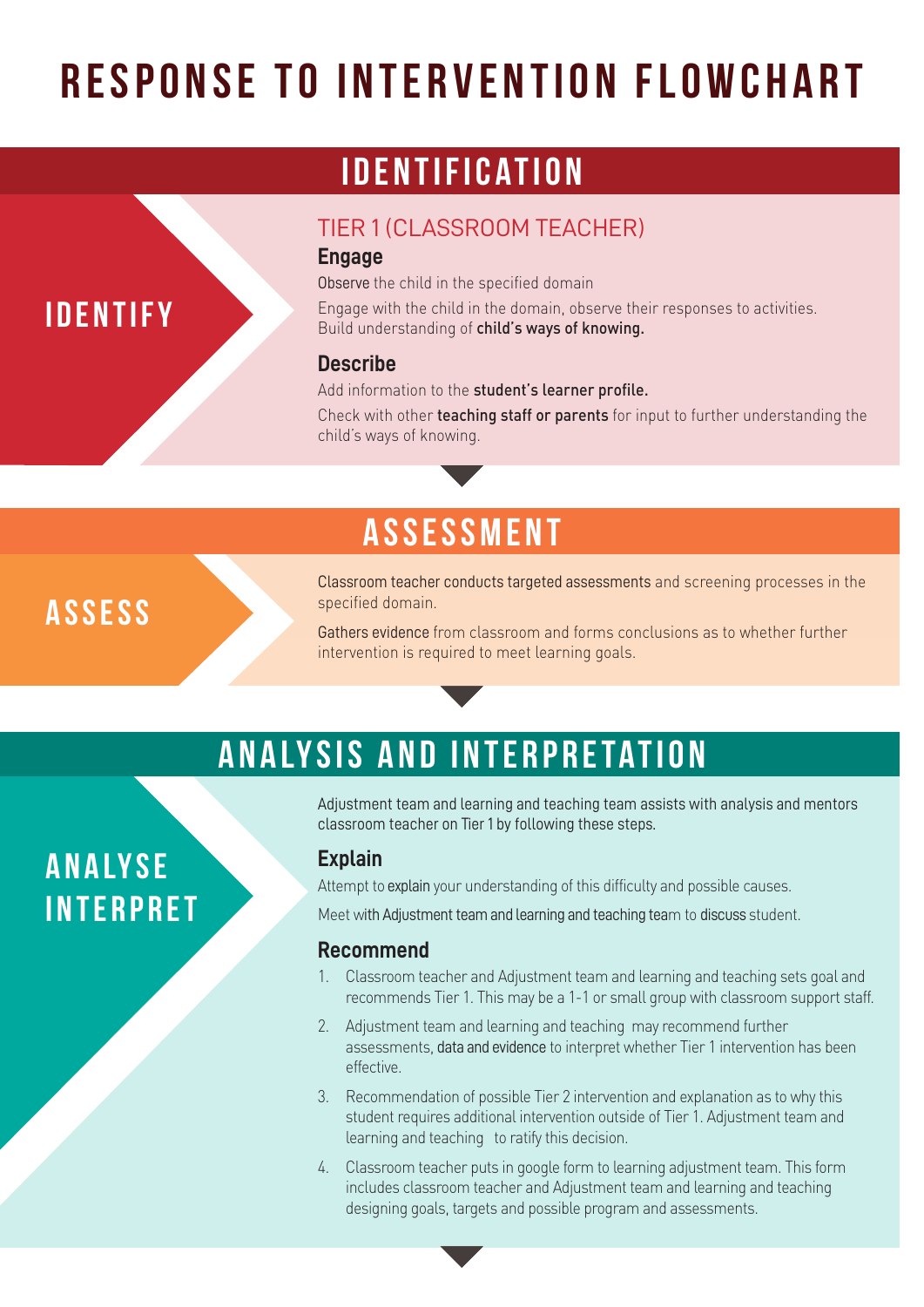# **RESPONSE TO INTERVENTION FLOWCHART**

### **Identification**

#### TIER 1 (CLASSROOM TEACHER)

#### **Engage**

Observe the child in the specified domain

Engage with the child in the domain, observe their responses to activities. Build understanding of child's ways of knowing.

#### **Describe**

Add information to the student's learner profile.

Check with other teaching staff or parents for input to further understanding the child's ways of knowing.

### **assessment**

**assess**

**Analyse**

**Interpret**

**Identify**

Classroom teacher conducts targeted assessments and screening processes in the specified domain.

Gathers evidence from classroom and forms conclusions as to whether further intervention is required to meet learning goals.

## **Analysis and Interpretation**

Adjustment team and learning and teaching team assists with analysis and mentors classroom teacher on Tier 1 by following these steps.

#### **Explain**

Attempt to explain your understanding of this difficulty and possible causes.

Meet with Adjustment team and learning and teaching team to discuss student.

#### **Recommend**

- 1. Classroom teacher and Adjustment team and learning and teaching sets goal and recommends Tier 1. This may be a 1-1 or small group with classroom support staff.
- 2. Adjustment team and learning and teaching may recommend further assessments, data and evidence to interpret whether Tier 1 intervention has been effective.
- 3. Recommendation of possible Tier 2 intervention and explanation as to why this student requires additional intervention outside of Tier 1. Adjustment team and learning and teaching to ratify this decision.
- 4. Classroom teacher puts in google form to learning adjustment team. This form includes classroom teacher and Adjustment team and learning and teaching designing goals, targets and possible program and assessments.